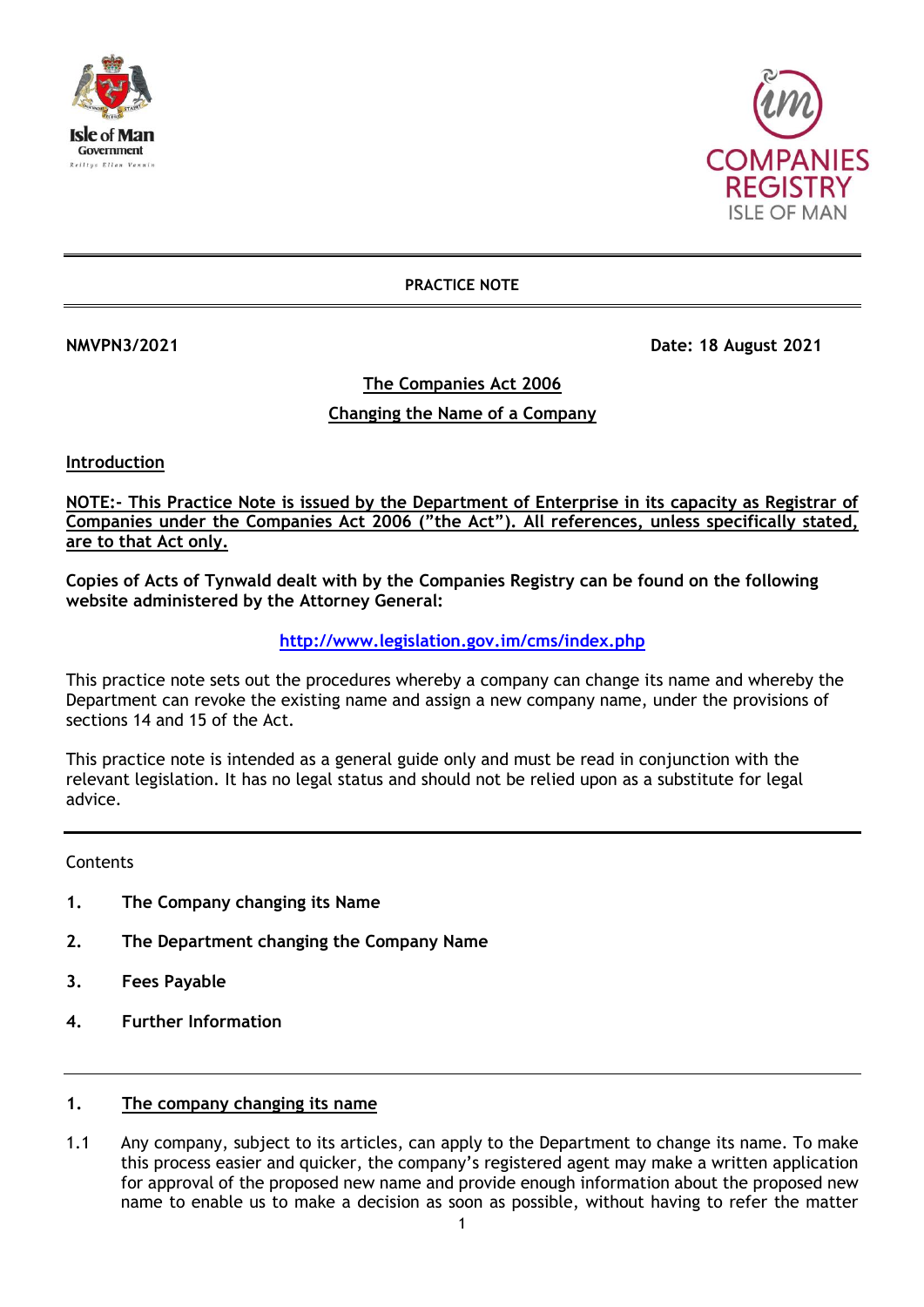



**PRACTICE NOTE**

**NMVPN3/2021 Date: 18 August 2021** 

**The Companies Act 2006**

# **Changing the Name of a Company**

**Introduction**

**NOTE:- This Practice Note is issued by the Department of Enterprise in its capacity as Registrar of Companies under the Companies Act 2006 ("the Act"). All references, unless specifically stated, are to that Act only.**

**Copies of Acts of Tynwald dealt with by the Companies Registry can be found on the following website administered by the Attorney General:**

## **<http://www.legislation.gov.im/cms/index.php>**

This practice note sets out the procedures whereby a company can change its name and whereby the Department can revoke the existing name and assign a new company name, under the provisions of sections 14 and 15 of the Act.

This practice note is intended as a general guide only and must be read in conjunction with the relevant legislation. It has no legal status and should not be relied upon as a substitute for legal advice.

**Contents** 

- **1. The Company changing its Name**
- **2. The Department changing the Company Name**
- **3. Fees Payable**
- **4. Further Information**

## **1. The company changing its name**

1.1 Any company, subject to its articles, can apply to the Department to change its name. To make this process easier and quicker, the company's registered agent may make a written application for approval of the proposed new name and provide enough information about the proposed new name to enable us to make a decision as soon as possible, without having to refer the matter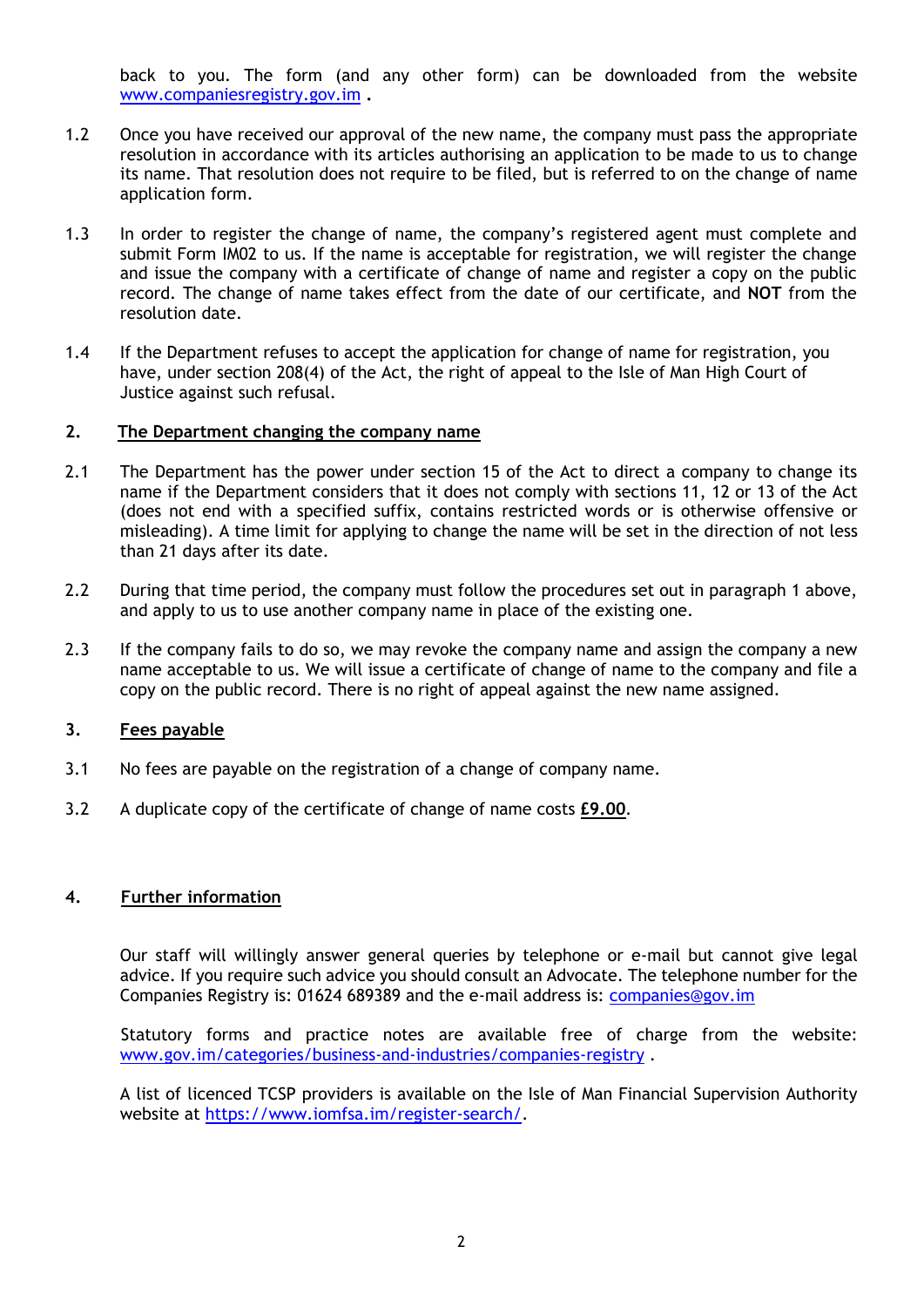back to you. The form (and any other form) can be downloaded from the website [www.companiesregistry.gov.im](http://www.companiesregistry.gov.im/) **.**

- 1.2 Once you have received our approval of the new name, the company must pass the appropriate resolution in accordance with its articles authorising an application to be made to us to change its name. That resolution does not require to be filed, but is referred to on the change of name application form.
- 1.3 In order to register the change of name, the company's registered agent must complete and submit Form IM02 to us. If the name is acceptable for registration, we will register the change and issue the company with a certificate of change of name and register a copy on the public record. The change of name takes effect from the date of our certificate, and **NOT** from the resolution date.
- 1.4 If the Department refuses to accept the application for change of name for registration, you have, under section 208(4) of the Act, the right of appeal to the Isle of Man High Court of Justice against such refusal.

#### **2. The Department changing the company name**

- 2.1 The Department has the power under section 15 of the Act to direct a company to change its name if the Department considers that it does not comply with sections 11, 12 or 13 of the Act (does not end with a specified suffix, contains restricted words or is otherwise offensive or misleading). A time limit for applying to change the name will be set in the direction of not less than 21 days after its date.
- 2.2 During that time period, the company must follow the procedures set out in paragraph 1 above, and apply to us to use another company name in place of the existing one.
- 2.3 If the company fails to do so, we may revoke the company name and assign the company a new name acceptable to us. We will issue a certificate of change of name to the company and file a copy on the public record. There is no right of appeal against the new name assigned.

## **3. Fees payable**

- 3.1 No fees are payable on the registration of a change of company name.
- 3.2 A duplicate copy of the certificate of change of name costs **£9.00***.*

## **4. Further information**

Our staff will willingly answer general queries by telephone or e-mail but cannot give legal advice. If you require such advice you should consult an Advocate. The telephone number for the Companies Registry is: 01624 689389 and the e-mail address is: [companies@gov.im](mailto:companies.registry@gov.im)

Statutory forms and practice notes are available free of charge from the website: [www.gov.im/categories/business-and-industries/companies-registry](http://www.gov.im/categories/business-and-industries/companies-registry) .

A list of licenced TCSP providers is available on the Isle of Man Financial Supervision Authority website at [https://www.iomfsa.im/register-search/.](https://www.iomfsa.im/register-search/)